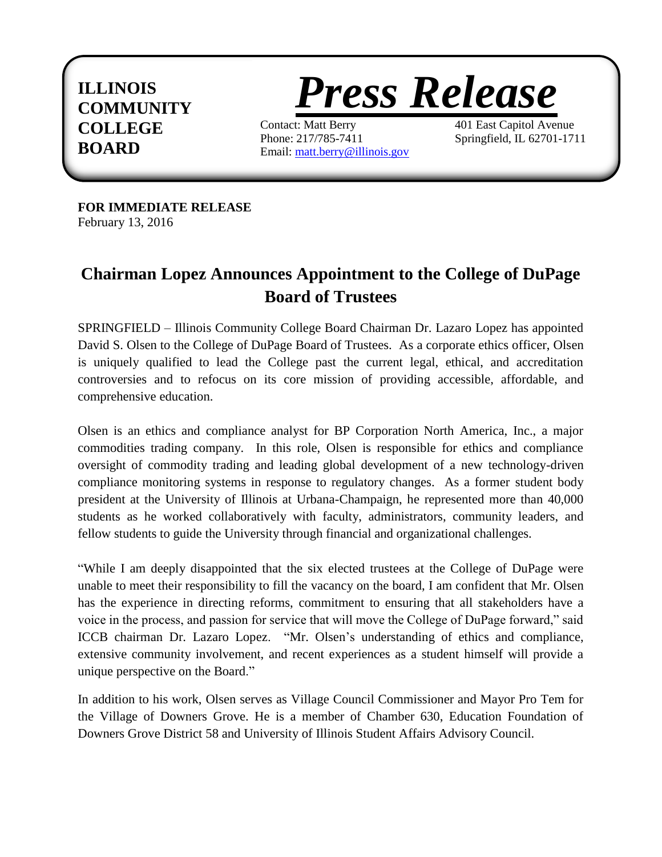## **ILLINOIS COMMUNITY COLLEGE BOARD**



Contact: Matt Berry 401 East Capitol Avenue Phone: 217/785-7411 Springfield, IL 62701-1711 Email: [matt.berry@illinois.gov](mailto:matt.berry@illinois.gov)

**FOR IMMEDIATE RELEASE** February 13, 2016

## **Chairman Lopez Announces Appointment to the College of DuPage Board of Trustees**

SPRINGFIELD – Illinois Community College Board Chairman Dr. Lazaro Lopez has appointed David S. Olsen to the College of DuPage Board of Trustees. As a corporate ethics officer, Olsen is uniquely qualified to lead the College past the current legal, ethical, and accreditation controversies and to refocus on its core mission of providing accessible, affordable, and comprehensive education.

Olsen is an ethics and compliance analyst for BP Corporation North America, Inc., a major commodities trading company. In this role, Olsen is responsible for ethics and compliance oversight of commodity trading and leading global development of a new technology-driven compliance monitoring systems in response to regulatory changes. As a former student body president at the University of Illinois at Urbana-Champaign, he represented more than 40,000 students as he worked collaboratively with faculty, administrators, community leaders, and fellow students to guide the University through financial and organizational challenges.

"While I am deeply disappointed that the six elected trustees at the College of DuPage were unable to meet their responsibility to fill the vacancy on the board, I am confident that Mr. Olsen has the experience in directing reforms, commitment to ensuring that all stakeholders have a voice in the process, and passion for service that will move the College of DuPage forward," said ICCB chairman Dr. Lazaro Lopez. "Mr. Olsen's understanding of ethics and compliance, extensive community involvement, and recent experiences as a student himself will provide a unique perspective on the Board."

In addition to his work, Olsen serves as Village Council Commissioner and Mayor Pro Tem for the Village of Downers Grove. He is a member of Chamber 630, Education Foundation of Downers Grove District 58 and University of Illinois Student Affairs Advisory Council.